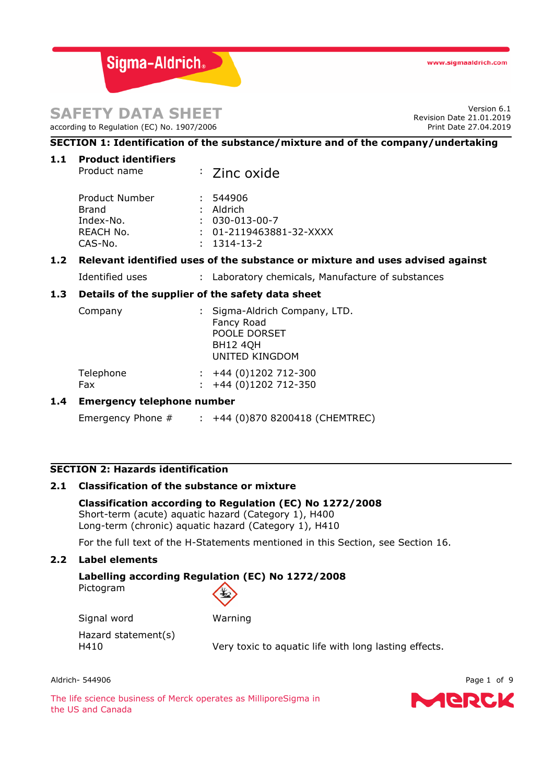# **SAFETY DATA SHEET**

according to Regulation (EC) No. 1907/2006

Version 6.1 Revision Date 21.01.2019 Print Date 27.04.2019

# **SECTION 1: Identification of the substance/mixture and of the company/undertaking**

| 1.1 | Product identifiers |
|-----|---------------------|
|     |                     |

| Product Number<br><b>Brand</b><br>Index-No.<br>REACH No.<br>CAS-No. | : 544906<br>$:$ Aldrich<br>$: 030 - 013 - 00 - 7$<br>$: 01 - 2119463881 - 32 - XXXX$<br>$: 1314 - 13 - 2$ |
|---------------------------------------------------------------------|-----------------------------------------------------------------------------------------------------------|
|                                                                     |                                                                                                           |

#### **1.2 Relevant identified uses of the substance or mixture and uses advised against**

Identified uses : Laboratory chemicals, Manufacture of substances

#### **1.3 Details of the supplier of the safety data sheet**

Product name : Zinc oxide

| Company   | : Sigma-Aldrich Company, LTD.<br>Fancy Road<br>POOLE DORSET |
|-----------|-------------------------------------------------------------|
|           | <b>BH12 4QH</b><br><b>UNITED KINGDOM</b>                    |
| Telephone | $\div$ +44 (0)1202 712-300                                  |

# Fax : +44 (0)1202 712-350

# **1.4 Emergency telephone number**

Emergency Phone # : +44 (0)870 8200418 (CHEMTREC)

## **SECTION 2: Hazards identification**

## **2.1 Classification of the substance or mixture**

**Classification according to Regulation (EC) No 1272/2008** Short-term (acute) aquatic hazard (Category 1), H400 Long-term (chronic) aquatic hazard (Category 1), H410

For the full text of the H-Statements mentioned in this Section, see Section 16.

## **2.2 Label elements**

#### **Labelling according Regulation (EC) No 1272/2008** Pictogram



Signal word Warning

Hazard statement(s)

H410 Very toxic to aquatic life with long lasting effects.

Aldrich- 544906 Page 1 of 9

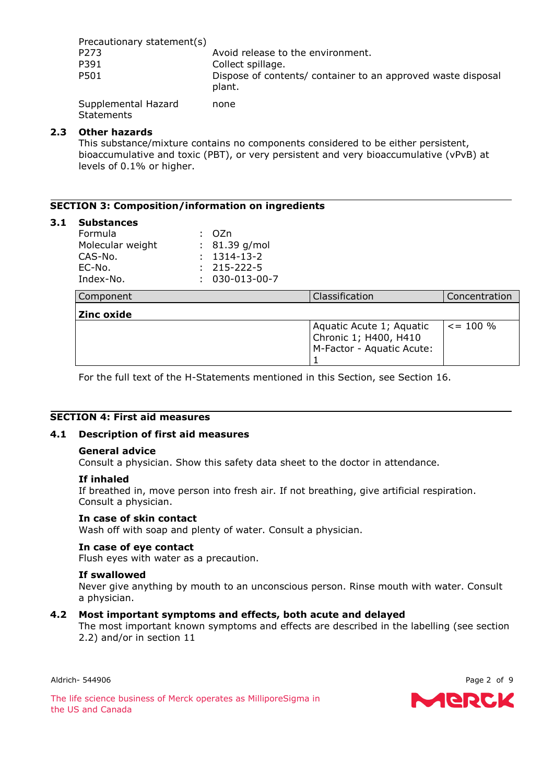| Precautionary statement(s) |                                                                        |
|----------------------------|------------------------------------------------------------------------|
| P <sub>273</sub>           | Avoid release to the environment.                                      |
| P391                       | Collect spillage.                                                      |
| P501                       | Dispose of contents/ container to an approved waste disposal<br>plant. |
| Supplemental Hazard        | none                                                                   |

**Statements** 

## **2.3 Other hazards**

This substance/mixture contains no components considered to be either persistent, bioaccumulative and toxic (PBT), or very persistent and very bioaccumulative (vPvB) at levels of 0.1% or higher.

## **SECTION 3: Composition/information on ingredients**

#### **3.1 Substances**

| Formula          | : OZn                  |
|------------------|------------------------|
| Molecular weight | $: 81.39$ g/mol        |
| CAS-No.          | $: 1314 - 13 - 2$      |
| EC-No.           | $: 215 - 222 - 5$      |
| Index-No.        | $: 030 - 013 - 00 - 7$ |

| Component  | Classification                                                                 | Concentration  |
|------------|--------------------------------------------------------------------------------|----------------|
| Zinc oxide |                                                                                |                |
|            | Aquatic Acute 1; Aquatic<br>Chronic 1; H400, H410<br>M-Factor - Aquatic Acute: | $\leq$ = 100 % |

For the full text of the H-Statements mentioned in this Section, see Section 16.

#### **SECTION 4: First aid measures**

#### **4.1 Description of first aid measures**

#### **General advice**

Consult a physician. Show this safety data sheet to the doctor in attendance.

#### **If inhaled**

If breathed in, move person into fresh air. If not breathing, give artificial respiration. Consult a physician.

#### **In case of skin contact**

Wash off with soap and plenty of water. Consult a physician.

#### **In case of eye contact**

Flush eyes with water as a precaution.

#### **If swallowed**

Never give anything by mouth to an unconscious person. Rinse mouth with water. Consult a physician.

#### **4.2 Most important symptoms and effects, both acute and delayed**

The most important known symptoms and effects are described in the labelling (see section 2.2) and/or in section 11

Aldrich- 544906 Page 2 of 9

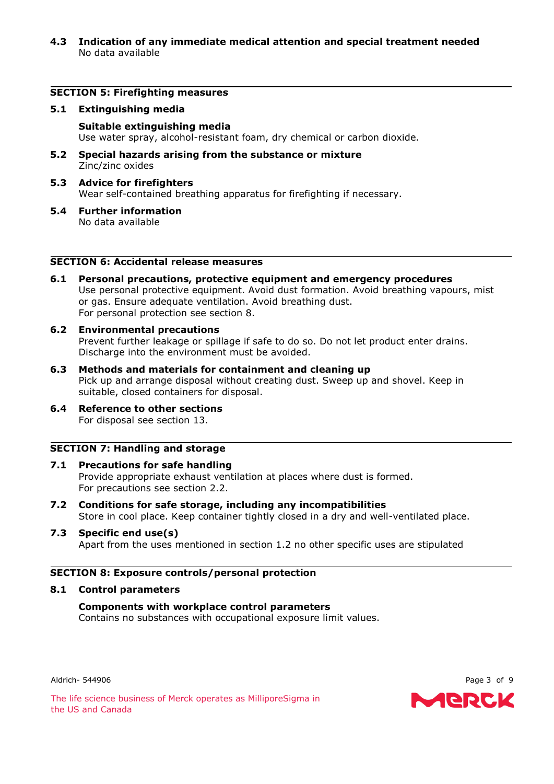**4.3 Indication of any immediate medical attention and special treatment needed** No data available

#### **SECTION 5: Firefighting measures**

#### **5.1 Extinguishing media**

#### **Suitable extinguishing media**

Use water spray, alcohol-resistant foam, dry chemical or carbon dioxide.

- **5.2 Special hazards arising from the substance or mixture** Zinc/zinc oxides
- **5.3 Advice for firefighters** Wear self-contained breathing apparatus for firefighting if necessary.
- **5.4 Further information** No data available

## **SECTION 6: Accidental release measures**

**6.1 Personal precautions, protective equipment and emergency procedures** Use personal protective equipment. Avoid dust formation. Avoid breathing vapours, mist or gas. Ensure adequate ventilation. Avoid breathing dust. For personal protection see section 8.

#### **6.2 Environmental precautions**

Prevent further leakage or spillage if safe to do so. Do not let product enter drains. Discharge into the environment must be avoided.

- **6.3 Methods and materials for containment and cleaning up** Pick up and arrange disposal without creating dust. Sweep up and shovel. Keep in suitable, closed containers for disposal.
- **6.4 Reference to other sections** For disposal see section 13.

## **SECTION 7: Handling and storage**

- **7.1 Precautions for safe handling** Provide appropriate exhaust ventilation at places where dust is formed. For precautions see section 2.2.
- **7.2 Conditions for safe storage, including any incompatibilities** Store in cool place. Keep container tightly closed in a dry and well-ventilated place.

# **7.3 Specific end use(s)**

Apart from the uses mentioned in section 1.2 no other specific uses are stipulated

#### **SECTION 8: Exposure controls/personal protection**

#### **8.1 Control parameters**

## **Components with workplace control parameters**

Contains no substances with occupational exposure limit values.

Aldrich- 544906 Page 3 of 9

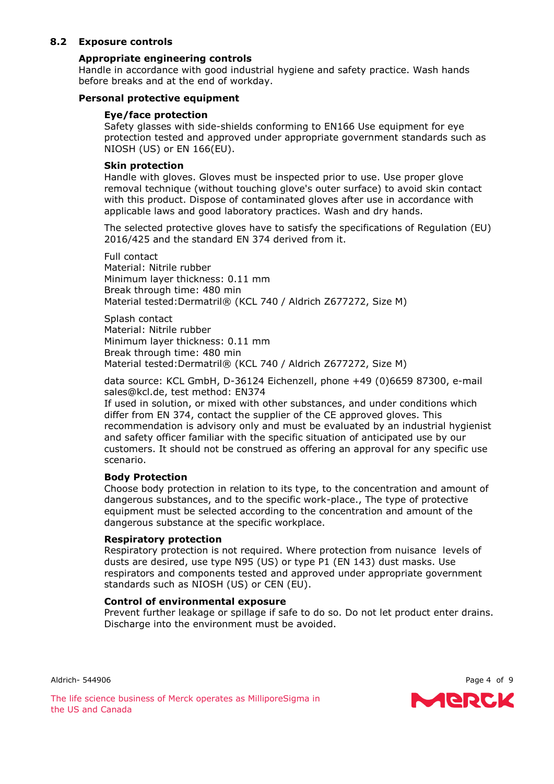## **8.2 Exposure controls**

# **Appropriate engineering controls**

Handle in accordance with good industrial hygiene and safety practice. Wash hands before breaks and at the end of workday.

# **Personal protective equipment**

# **Eye/face protection**

Safety glasses with side-shields conforming to EN166 Use equipment for eye protection tested and approved under appropriate government standards such as NIOSH (US) or EN 166(EU).

# **Skin protection**

Handle with gloves. Gloves must be inspected prior to use. Use proper glove removal technique (without touching glove's outer surface) to avoid skin contact with this product. Dispose of contaminated gloves after use in accordance with applicable laws and good laboratory practices. Wash and dry hands.

The selected protective gloves have to satisfy the specifications of Regulation (EU) 2016/425 and the standard EN 374 derived from it.

Full contact Material: Nitrile rubber Minimum layer thickness: 0.11 mm Break through time: 480 min Material tested:Dermatril® (KCL 740 / Aldrich Z677272, Size M)

Splash contact Material: Nitrile rubber Minimum layer thickness: 0.11 mm Break through time: 480 min Material tested:Dermatril® (KCL 740 / Aldrich Z677272, Size M)

data source: KCL GmbH, D-36124 Eichenzell, phone +49 (0)6659 87300, e-mail sales@kcl.de, test method: EN374

If used in solution, or mixed with other substances, and under conditions which differ from EN 374, contact the supplier of the CE approved gloves. This recommendation is advisory only and must be evaluated by an industrial hygienist and safety officer familiar with the specific situation of anticipated use by our customers. It should not be construed as offering an approval for any specific use scenario.

# **Body Protection**

Choose body protection in relation to its type, to the concentration and amount of dangerous substances, and to the specific work-place., The type of protective equipment must be selected according to the concentration and amount of the dangerous substance at the specific workplace.

# **Respiratory protection**

Respiratory protection is not required. Where protection from nuisance levels of dusts are desired, use type N95 (US) or type P1 (EN 143) dust masks. Use respirators and components tested and approved under appropriate government standards such as NIOSH (US) or CEN (EU).

# **Control of environmental exposure**

Prevent further leakage or spillage if safe to do so. Do not let product enter drains. Discharge into the environment must be avoided.

Aldrich- 544906 Page 4 of 9

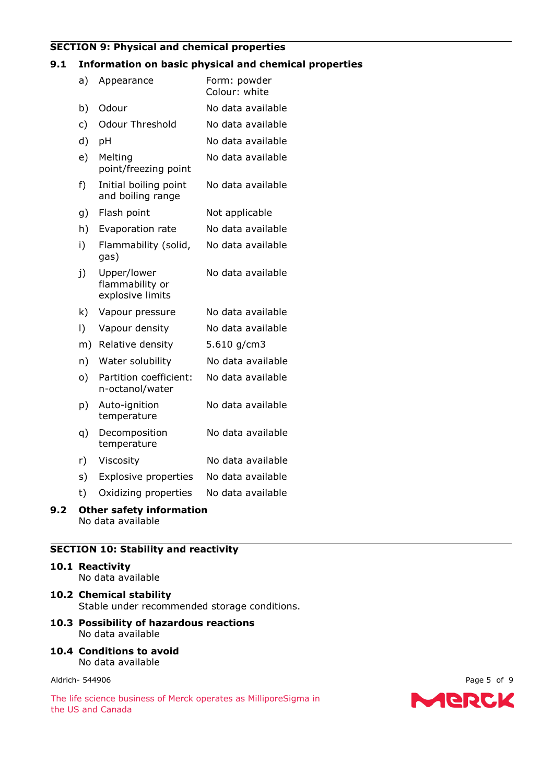# **SECTION 9: Physical and chemical properties**

#### **9.1 Information on basic physical and chemical properties**

|     | a)        | Appearance                                         | Form: powder<br>Colour: white |
|-----|-----------|----------------------------------------------------|-------------------------------|
|     | b)        | Odour                                              | No data available             |
|     | c)        | <b>Odour Threshold</b>                             | No data available             |
|     | d)        | pH                                                 | No data available             |
|     | e)        | Melting<br>point/freezing point                    | No data available             |
|     | f)        | Initial boiling point<br>and boiling range         | No data available             |
|     | g)        | Flash point                                        | Not applicable                |
|     | h)        | Evaporation rate                                   | No data available             |
|     | i)        | Flammability (solid,<br>gas)                       | No data available             |
|     | j)        | Upper/lower<br>flammability or<br>explosive limits | No data available             |
|     | k)        | Vapour pressure                                    | No data available             |
|     | $\vert$ ) | Vapour density                                     | No data available             |
|     | m)        | Relative density                                   | 5.610 g/cm3                   |
|     | n)        | Water solubility                                   | No data available             |
|     | $\circ)$  | Partition coefficient:<br>n-octanol/water          | No data available             |
|     | p)        | Auto-ignition<br>temperature                       | No data available             |
|     | q)        | Decomposition<br>temperature                       | No data available             |
|     | r)        | Viscosity                                          | No data available             |
|     | s)        | <b>Explosive properties</b>                        | No data available             |
|     | t)        | Oxidizing properties                               | No data available             |
| 9.2 |           | <b>Other safety information</b>                    |                               |

No data available

# **SECTION 10: Stability and reactivity**

# **10.1 Reactivity**

No data available

**10.2 Chemical stability** Stable under recommended storage conditions.

#### **10.3 Possibility of hazardous reactions** No data available

**10.4 Conditions to avoid** No data available

Aldrich- 544906 Page 5 of 9

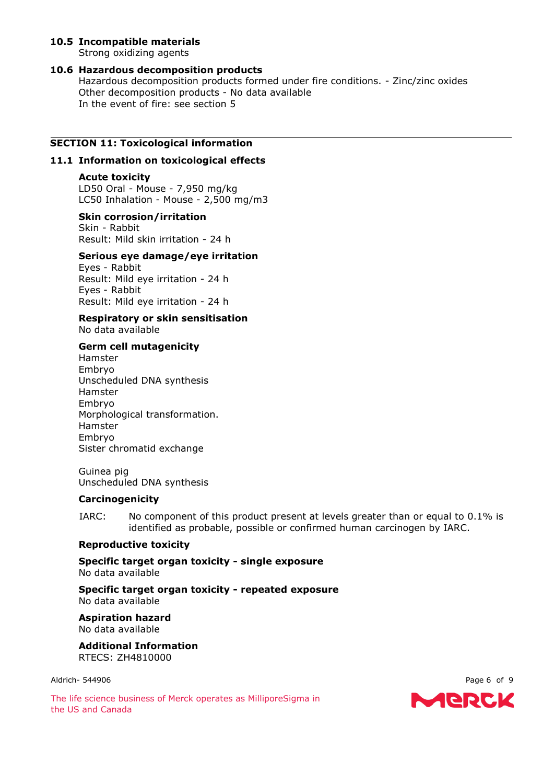## **10.5 Incompatible materials**

Strong oxidizing agents

## **10.6 Hazardous decomposition products**

Hazardous decomposition products formed under fire conditions. - Zinc/zinc oxides Other decomposition products - No data available In the event of fire: see section 5

# **SECTION 11: Toxicological information**

#### **11.1 Information on toxicological effects**

#### **Acute toxicity**

LD50 Oral - Mouse - 7,950 mg/kg LC50 Inhalation - Mouse - 2,500 mg/m3

#### **Skin corrosion/irritation**

Skin - Rabbit Result: Mild skin irritation - 24 h

## **Serious eye damage/eye irritation**

Eyes - Rabbit Result: Mild eye irritation - 24 h Eyes - Rabbit Result: Mild eye irritation - 24 h

#### **Respiratory or skin sensitisation** No data available

# **Germ cell mutagenicity**

Hamster Embryo Unscheduled DNA synthesis Hamster Embryo Morphological transformation. Hamster Embryo Sister chromatid exchange

#### Guinea pig Unscheduled DNA synthesis

#### **Carcinogenicity**

IARC: No component of this product present at levels greater than or equal to 0.1% is identified as probable, possible or confirmed human carcinogen by IARC.

### **Reproductive toxicity**

**Specific target organ toxicity - single exposure** No data available

**Specific target organ toxicity - repeated exposure** No data available

**Aspiration hazard** No data available

**Additional Information** RTECS: ZH4810000

Aldrich- 544906 Page 6 of 9

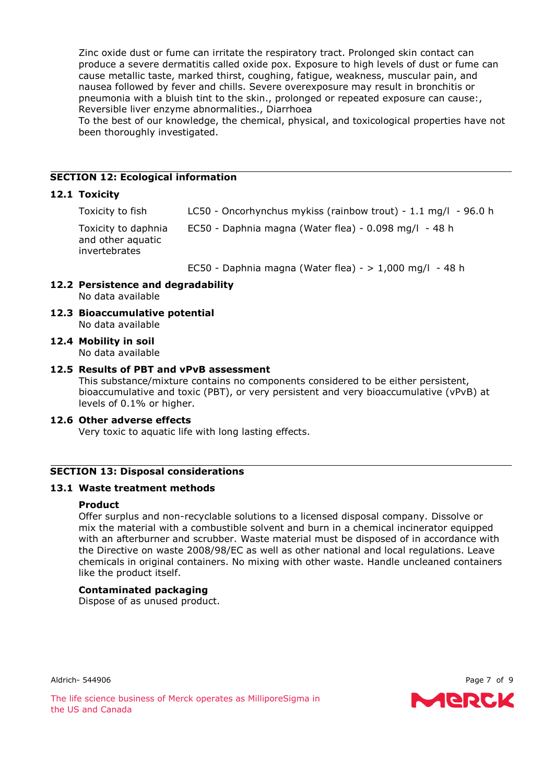Zinc oxide dust or fume can irritate the respiratory tract. Prolonged skin contact can produce a severe dermatitis called oxide pox. Exposure to high levels of dust or fume can cause metallic taste, marked thirst, coughing, fatigue, weakness, muscular pain, and nausea followed by fever and chills. Severe overexposure may result in bronchitis or pneumonia with a bluish tint to the skin., prolonged or repeated exposure can cause:, Reversible liver enzyme abnormalities., Diarrhoea

To the best of our knowledge, the chemical, physical, and toxicological properties have not been thoroughly investigated.

#### **SECTION 12: Ecological information**

#### **12.1 Toxicity**

| Toxicity to fish | LC50 - Oncorhynchus mykiss (rainbow trout) - $1.1$ mg/l - 96.0 h |  |  |
|------------------|------------------------------------------------------------------|--|--|
|                  |                                                                  |  |  |

Toxicity to daphnia and other aquatic invertebrates EC50 - Daphnia magna (Water flea) - 0.098 mg/l - 48 h

EC50 - Daphnia magna (Water flea) -  $> 1,000$  mg/l - 48 h

- **12.2 Persistence and degradability** No data available
- **12.3 Bioaccumulative potential** No data available

**12.4 Mobility in soil** No data available

#### **12.5 Results of PBT and vPvB assessment**

This substance/mixture contains no components considered to be either persistent, bioaccumulative and toxic (PBT), or very persistent and very bioaccumulative (vPvB) at levels of 0.1% or higher.

#### **12.6 Other adverse effects**

Very toxic to aquatic life with long lasting effects.

## **SECTION 13: Disposal considerations**

#### **13.1 Waste treatment methods**

#### **Product**

Offer surplus and non-recyclable solutions to a licensed disposal company. Dissolve or mix the material with a combustible solvent and burn in a chemical incinerator equipped with an afterburner and scrubber. Waste material must be disposed of in accordance with the Directive on waste 2008/98/EC as well as other national and local regulations. Leave chemicals in original containers. No mixing with other waste. Handle uncleaned containers like the product itself.

#### **Contaminated packaging**

Dispose of as unused product.

Aldrich- 544906 Page 7 of 9

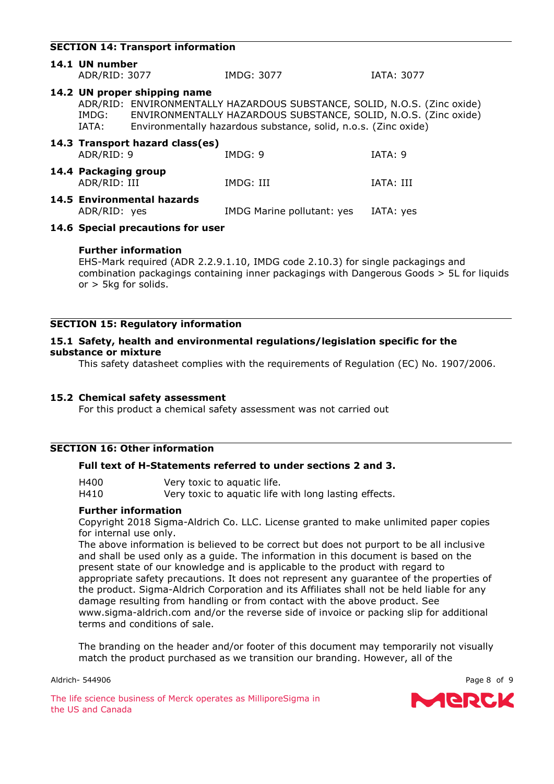## **SECTION 14: Transport information**

| 14.1 UN number<br>ADR/RID: 3077      |                                      | IMDG: 3077                                                                                                                                                                                                     | <b>IATA: 3077</b> |
|--------------------------------------|--------------------------------------|----------------------------------------------------------------------------------------------------------------------------------------------------------------------------------------------------------------|-------------------|
| IMDG:<br>IATA:                       | 14.2 UN proper shipping name         | ADR/RID: ENVIRONMENTALLY HAZARDOUS SUBSTANCE, SOLID, N.O.S. (Zinc oxide)<br>ENVIRONMENTALLY HAZARDOUS SUBSTANCE, SOLID, N.O.S. (Zinc oxide)<br>Environmentally hazardous substance, solid, n.o.s. (Zinc oxide) |                   |
| ADR/RID: 9                           | 14.3 Transport hazard class(es)      | IMDG: 9                                                                                                                                                                                                        | IATA: 9           |
| 14.4 Packaging group<br>ADR/RID: III |                                      | IMDG: III                                                                                                                                                                                                      | IATA: III         |
| ADR/RID: yes                         | 14.5 Environmental hazards           | IMDG Marine pollutant: yes                                                                                                                                                                                     | IATA: yes         |
|                                      | $14.6$ Createl researchiang fermines |                                                                                                                                                                                                                |                   |

#### **14.6 Special precautions for user**

#### **Further information**

EHS-Mark required (ADR 2.2.9.1.10, IMDG code 2.10.3) for single packagings and combination packagings containing inner packagings with Dangerous Goods > 5L for liquids or > 5kg for solids.

#### **SECTION 15: Regulatory information**

## **15.1 Safety, health and environmental regulations/legislation specific for the substance or mixture**

This safety datasheet complies with the requirements of Regulation (EC) No. 1907/2006.

#### **15.2 Chemical safety assessment**

For this product a chemical safety assessment was not carried out

#### **SECTION 16: Other information**

### **Full text of H-Statements referred to under sections 2 and 3.**

| H400 | Very toxic to aquatic life.                           |
|------|-------------------------------------------------------|
| H410 | Very toxic to aquatic life with long lasting effects. |

#### **Further information**

Copyright 2018 Sigma-Aldrich Co. LLC. License granted to make unlimited paper copies for internal use only.

The above information is believed to be correct but does not purport to be all inclusive and shall be used only as a guide. The information in this document is based on the present state of our knowledge and is applicable to the product with regard to appropriate safety precautions. It does not represent any guarantee of the properties of the product. Sigma-Aldrich Corporation and its Affiliates shall not be held liable for any damage resulting from handling or from contact with the above product. See www.sigma-aldrich.com and/or the reverse side of invoice or packing slip for additional terms and conditions of sale.

The branding on the header and/or footer of this document may temporarily not visually match the product purchased as we transition our branding. However, all of the